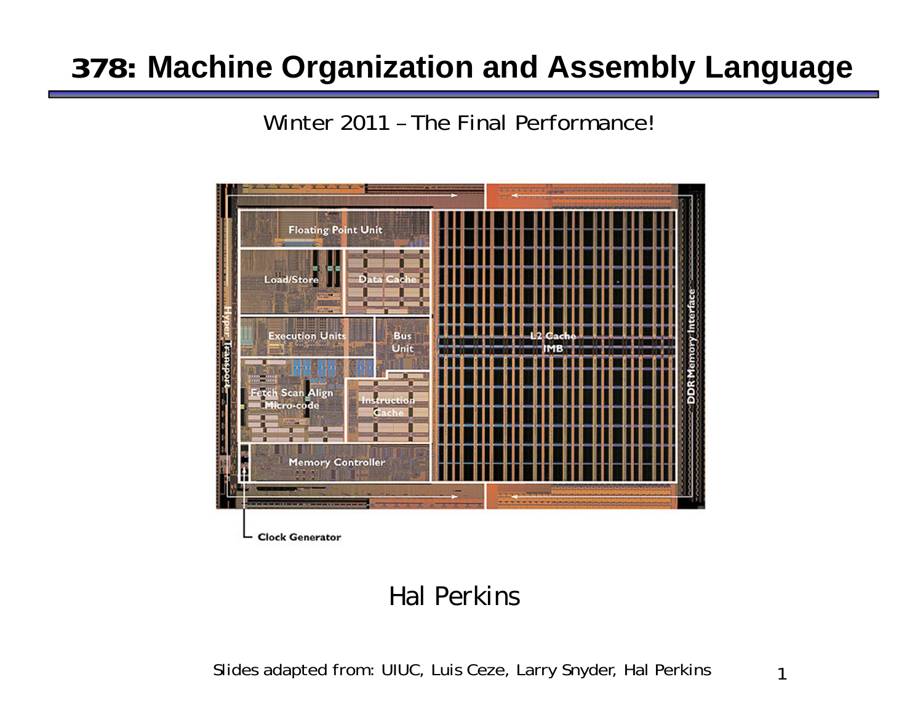## **378: Machine Organization and Assembly Language**

Winter 2011 – The Final Performance!



#### *Hal Perkins*

Slides adapted from: UIUC, Luis Ceze, Larry Snyder, Hal Perkins

1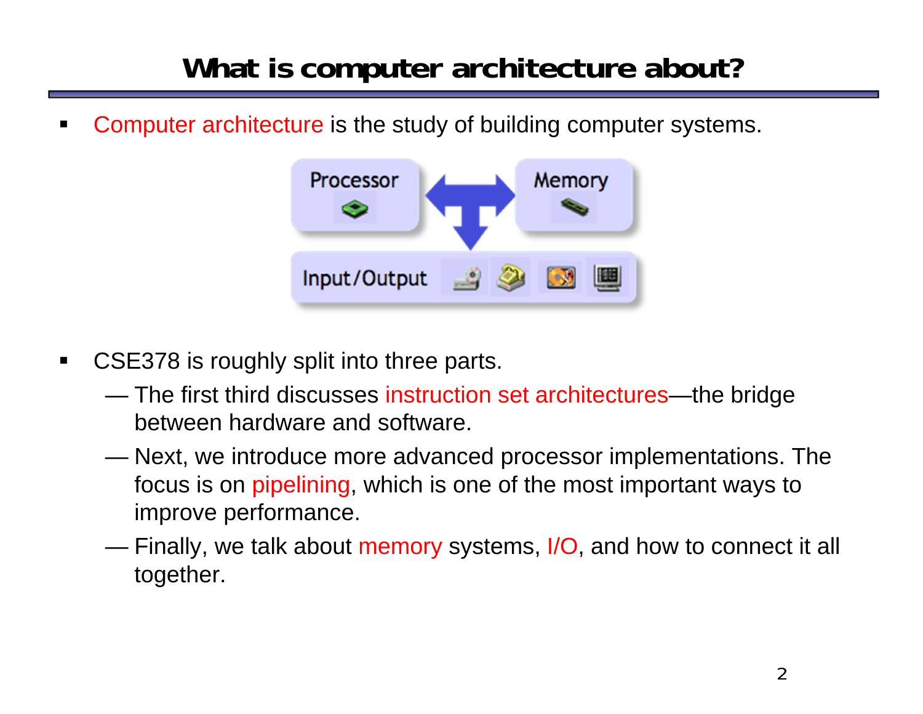## **What is computer architecture about?**

 $\blacksquare$ Computer architecture is the study of building computer systems.

![](_page_1_Figure_2.jpeg)

- $\blacksquare$  CSE378 is roughly split into three parts.
	- The first third discusses instruction set architectures—the bridge between hardware and software.
	- $\mathcal{L}^{\text{max}}$  Next, we introduce more advanced processor implementations. The focus is on pipelining, which is one of the most important ways to improve performance.
	- $\sim$ Finally, we talk about memory systems, I/O, and how to connect it all together.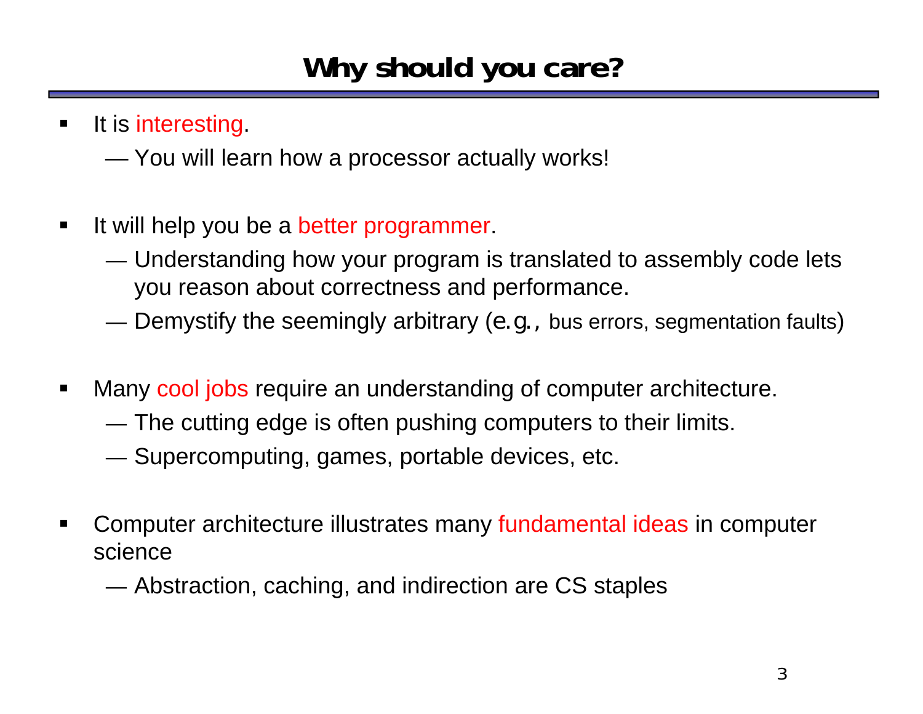# **Why should you care?**

- $\blacksquare$ It is interesting.
	- $\sim$ You will learn how a processor actually works!
- $\blacksquare$  It will help you be a better programmer.
	- — Understanding how your program is translated to assembly code lets you reason about correctness and performance.
	- — $-$  Demystify the seemingly arbitrary (*e.g.,* bus errors, segmentation faults)
- $\blacksquare$  Many cool jobs require an understanding of computer architecture.
	- —The cutting edge is often pushing computers to their limits.
	- — $-$  Supercomputing, games, portable devices, etc.
- $\blacksquare$  Computer architecture illustrates many fundamental ideas in computer science
	- —Abstraction, caching, and indirection are CS staples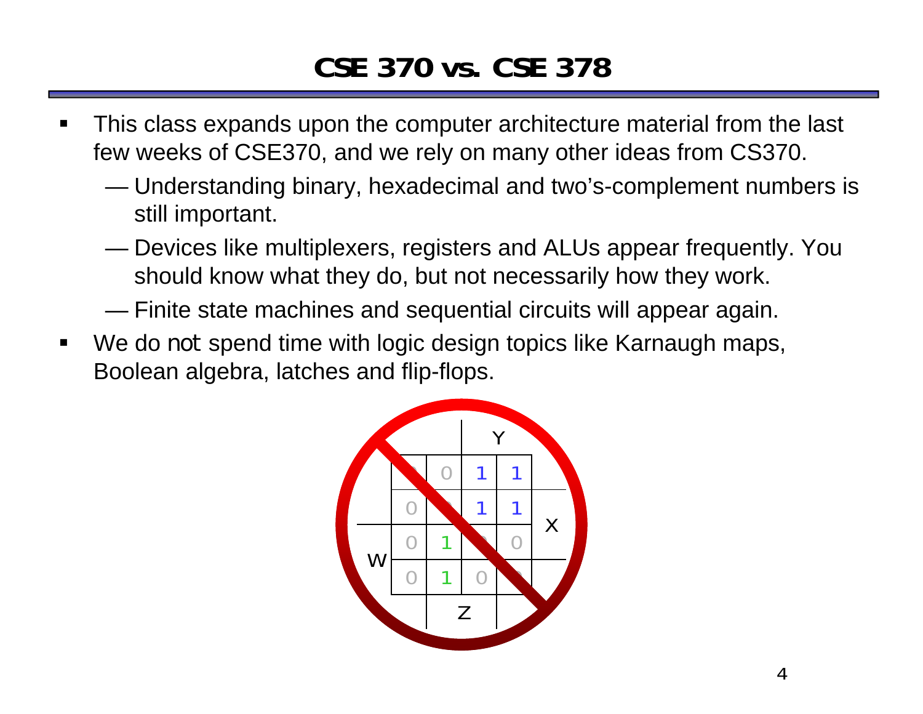## **CSE 370 vs. CSE 378**

- $\blacksquare$  This class expands upon the computer architecture material from the last few weeks of CSE370, and we rely on many other ideas from CS370.
	- $\sim$  Understanding binary, hexadecimal and two's-complement numbers is still important.
	- Devices like multiplexers, registers and ALUs appear frequently. You should know what they do, but not necessarily how they work.
	- ——————————————— Finite state machines and sequential circuits will appear again.
- $\blacksquare$  We do *not* spend time with logic design topics like Karnaugh maps, Boolean algebra, latches and flip-flops.

![](_page_3_Picture_6.jpeg)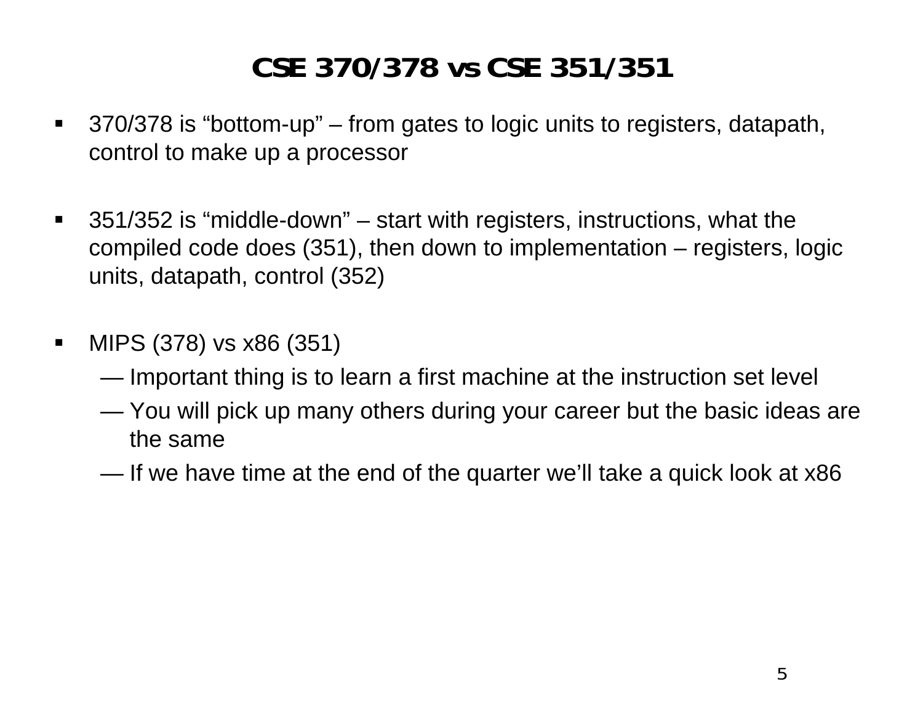## **CSE 370/378 vs CSE 351/351**

- $\blacksquare$  370/378 is "bottom-up" – from gates to logic units to registers, datapath, control to make up a processor
- $\blacksquare$  351/352 is "middle-down" – start with registers, instructions, what the compiled code does (351), then down to implementation – registers, logic units, datapath, control (352)
- $\blacksquare$  MIPS (378) vs x86 (351)
	- ———————————————— Important thing is to learn a first machine at the instruction set level
	- ———————————————— You will pick up many others during your career but the basic ideas are the same
	- $\sim$ If we have time at the end of the quarter we'll take a quick look at x86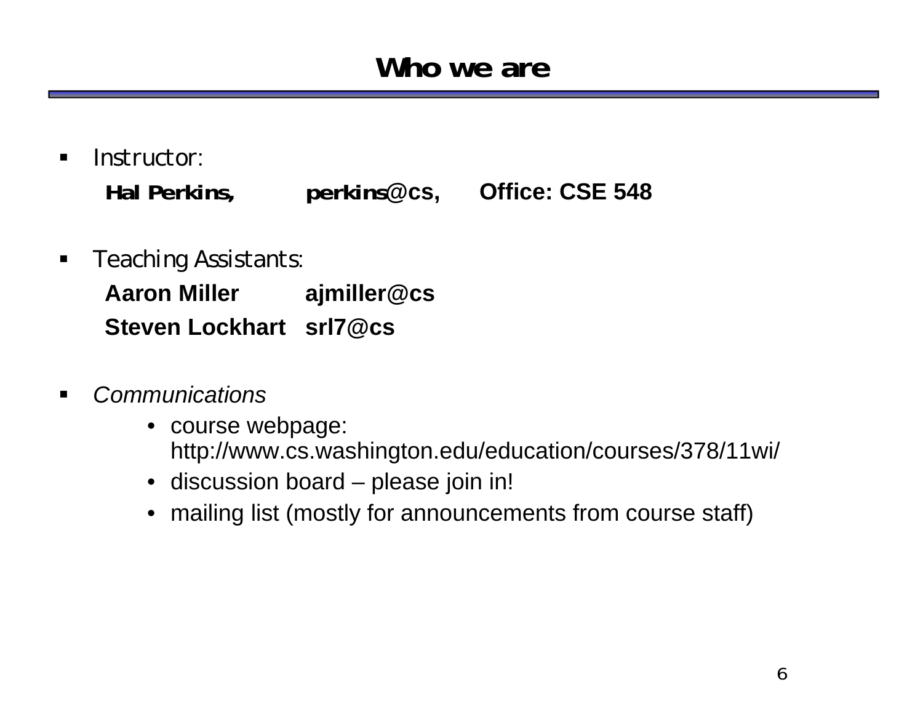#### **Who we are**

- $\blacksquare$  *Instructor*: **Hal Perkins, perkins@cs, Office: CSE 548**
- $\blacksquare$  *Teaching Assistants*: **Aaron Miller ajmiller@cs Steven Lockhart srl7@cs**
- $\blacksquare$  *Communications*
	- course webpage: http://www.cs.washington.edu/education/courses/378/11wi/
	- discussion board please join in!
	- mailing list (mostly for announcements from course staff)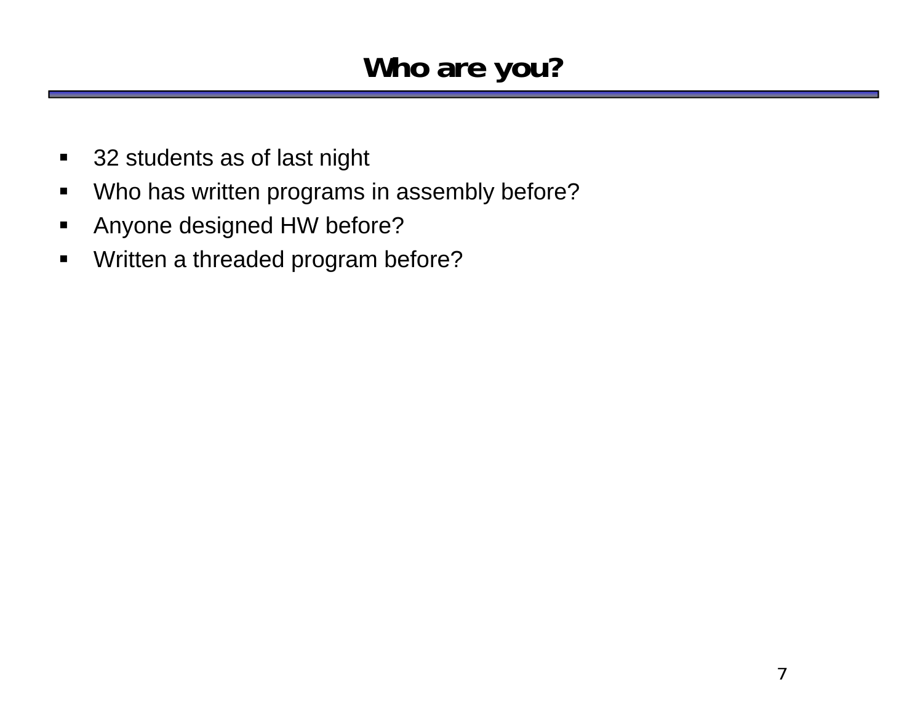## **Who are you?**

- $\blacksquare$ 32 students as of last night
- $\blacksquare$ Who has written programs in assembly before?
- $\blacksquare$ Anyone designed HW before?
- $\blacksquare$ Written a threaded program before?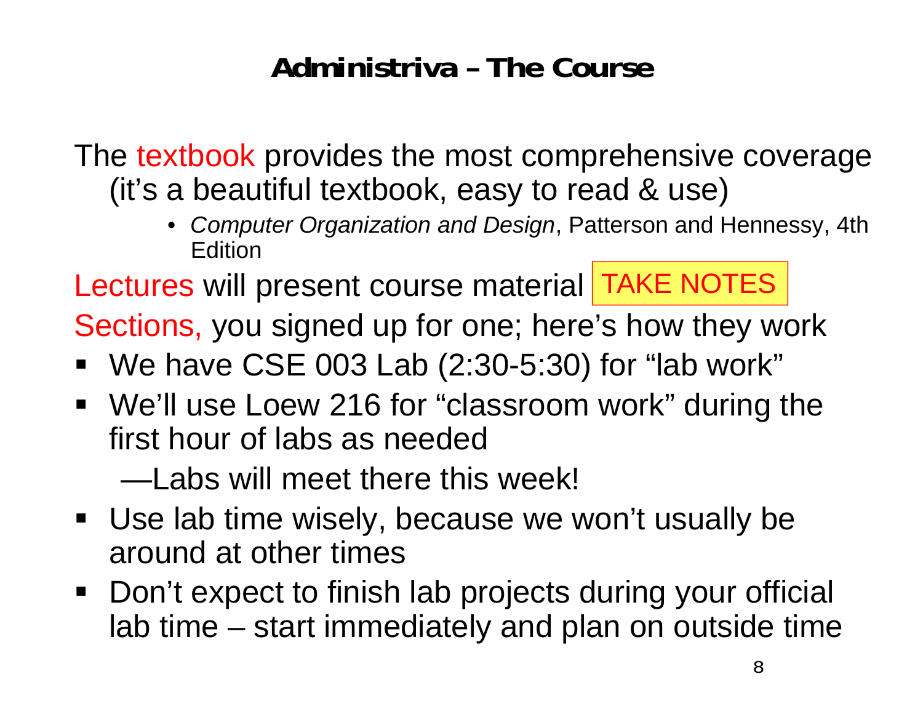## **Administriva – The Course**

The textbook provides the most comprehensive coverage (it's a beautiful textbook, easy to read & use)

> • *Computer Organization and Design*, Patterson and Hennessy, 4th Edition

Lectures will present course material TAKE NOTES

Sections, you signed up for one; here's how they work

- We have CSE 003 Lab (2:30-5:30) for "lab work"
- We'll use Loew 216 for "classroom work" during the first hour of labs as needed

—Labs will meet there this week!

- Use lab time wisely, because we won't usually be around at other times
- Don't expect to finish lab projects during your official lab time – start immediately and plan on outside time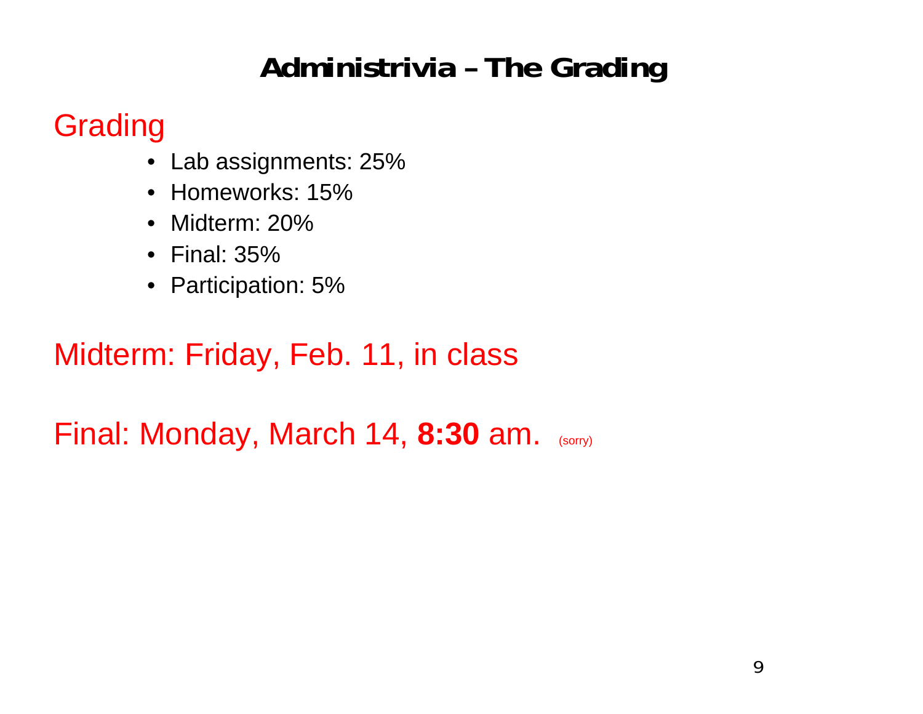## **Administrivia – The Grading**

## Grading

- Lab assignments: 25%
- Homeworks: 15%
- Midterm: 20%
- Final: 35%
- Participation: 5%

## Midterm: Friday, Feb. 11, in class

Final: Monday, March 14, **8:30** am. (sorry)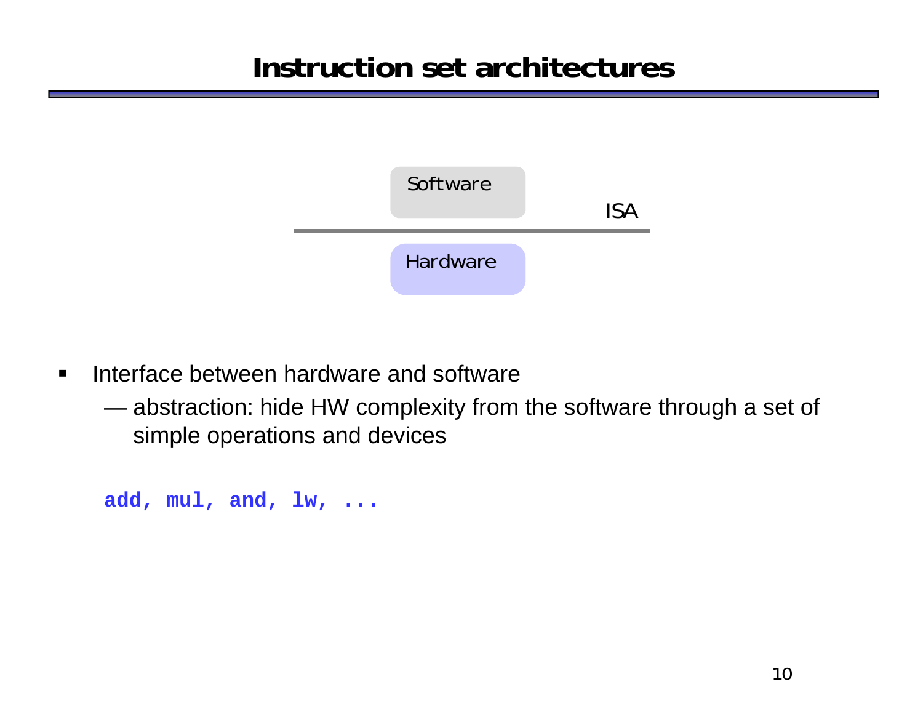## **Instruction set architectures**

![](_page_9_Figure_1.jpeg)

- $\blacksquare$ **Interface between hardware and software** 
	- —————————————— abstraction: hide HW complexity from the software through a set of simple operations and devices

```
add, mul, and, lw, ...
```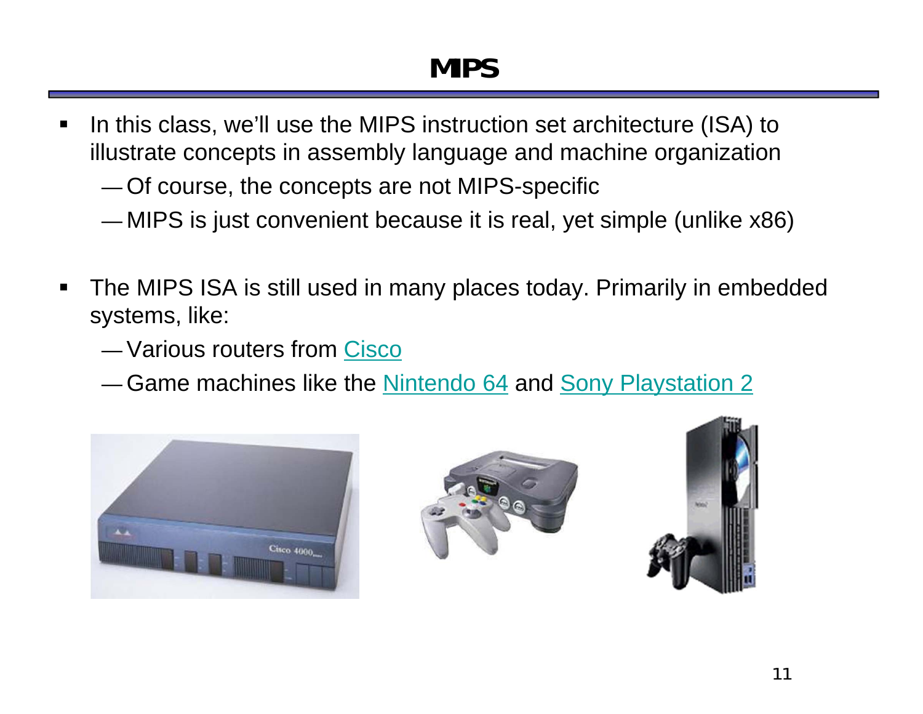## **MIPS**

- $\blacksquare$  In this class, we'll use the MIPS instruction set architecture (ISA) to illustrate concepts in assembly language and machine organization
	- Of course, the concepts are not MIPS-specific
	- —MIPS is just convenient because it is real, yet simple (unlike x86)
- $\blacksquare$  The MIPS ISA is still used in many places today. Primarily in embedded systems, like:
	- Various routers from Cisco
	- —— Game machines like the <u>Nintendo 64</u> and <u>Sony Playstation 2</u>

![](_page_10_Picture_7.jpeg)

![](_page_10_Picture_8.jpeg)

![](_page_10_Picture_9.jpeg)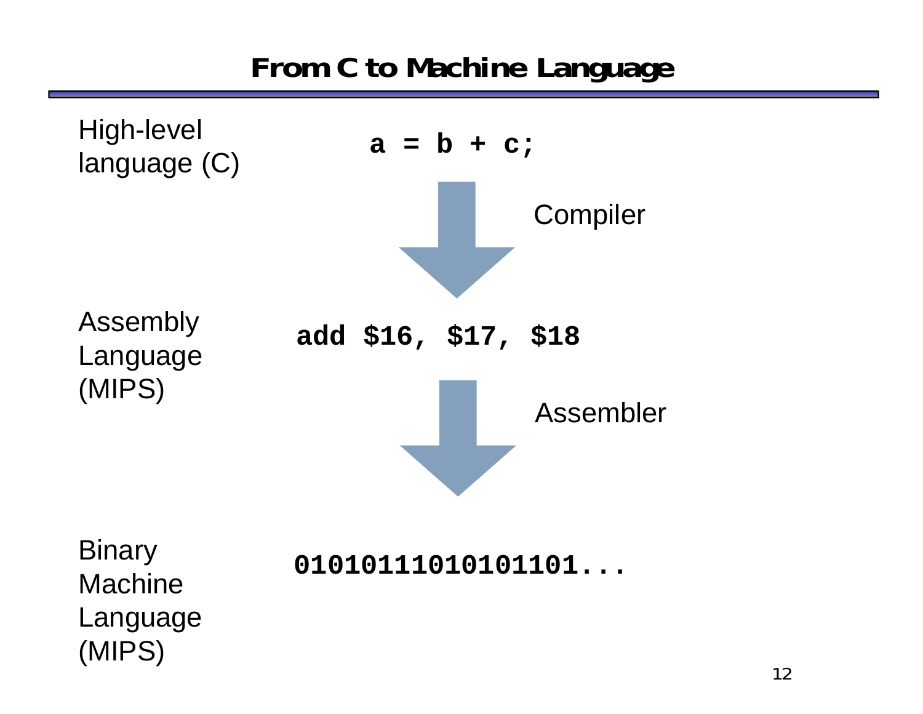**From C to Machine Language**

![](_page_11_Figure_1.jpeg)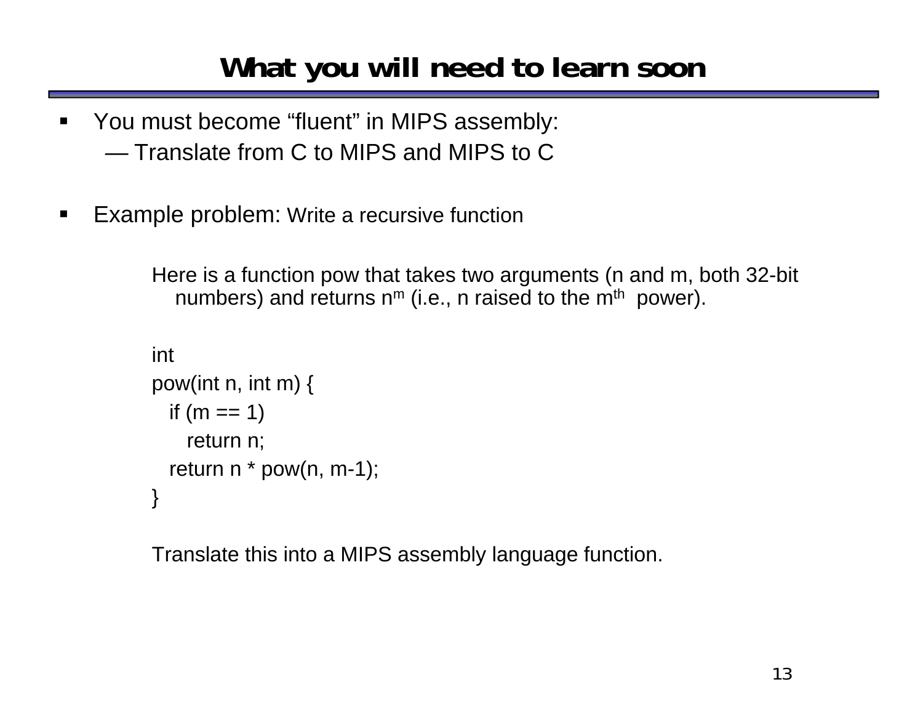## **What you will need to learn soon**

- $\blacksquare$  You must become "fluent" in MIPS assembly: — Translate from C to MIPS and MIPS to C
- $\blacksquare$ Example problem: Write a recursive function

Here is a function pow that takes two arguments (n and m, both 32-bit numbers) and returns n<sup>m</sup> (i.e., n raised to the m<sup>th</sup> power).

```
intpow(int n, int m) {
if (m == 1)return n;
return n * pow(n, m-1);}
```
Translate this into a MIPS assembly language function.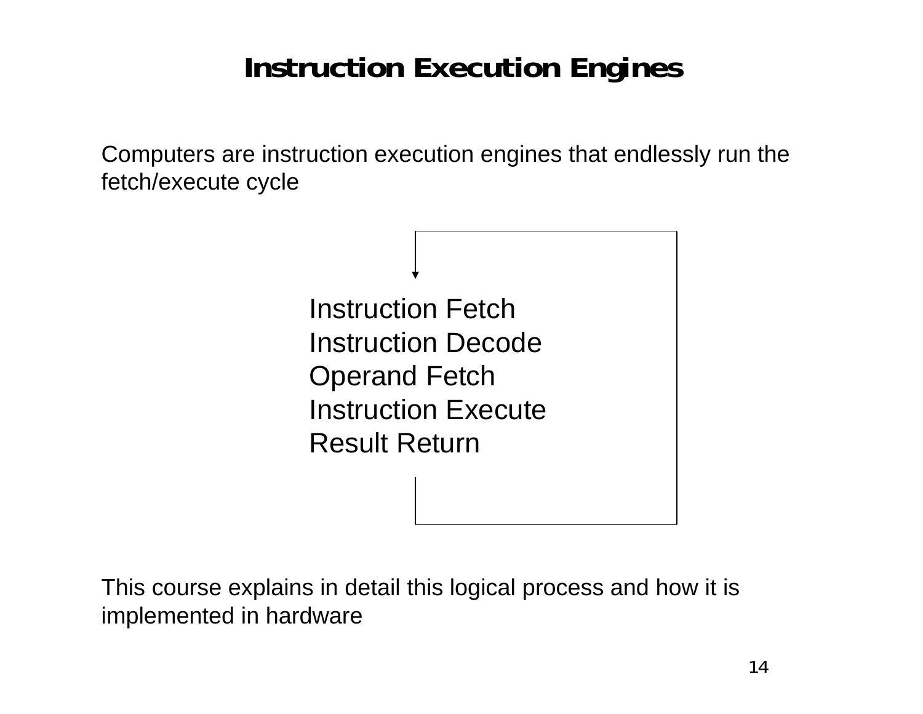## **Instruction Execution Engines**

Computers are instruction execution engines that endlessly run the fetch/execute cycle

> Instruction FetchInstruction DecodeOperand Fetch Instruction Execute Result Return

This course explains in detail this logical process and how it is implemented in hardware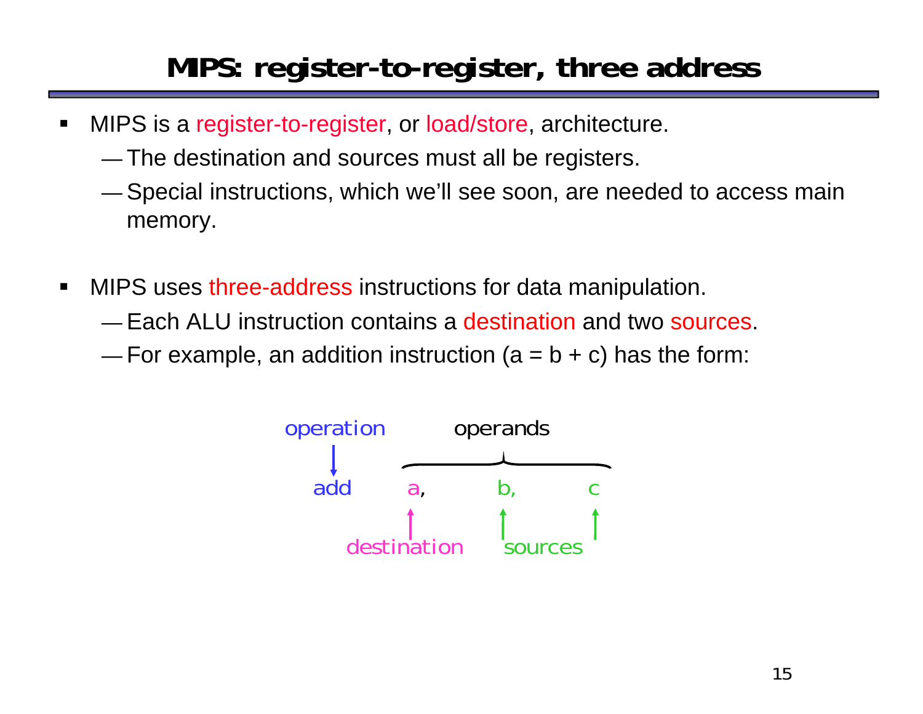## **MIPS: register-to-register, three address**

- $\blacksquare$  MIPS is a register-to-register, or load/store, architecture.
	- —The destination and sources must all be registers.
	- Special instructions, which we'll see soon, are needed to access main memory.
- $\blacksquare$ **MIPS uses three-address instructions for data manipulation.** 
	- Each ALU instruction contains a destination and two sources.
	- $-$  For example, an addition instruction (a = b + c) has the form:

![](_page_14_Figure_7.jpeg)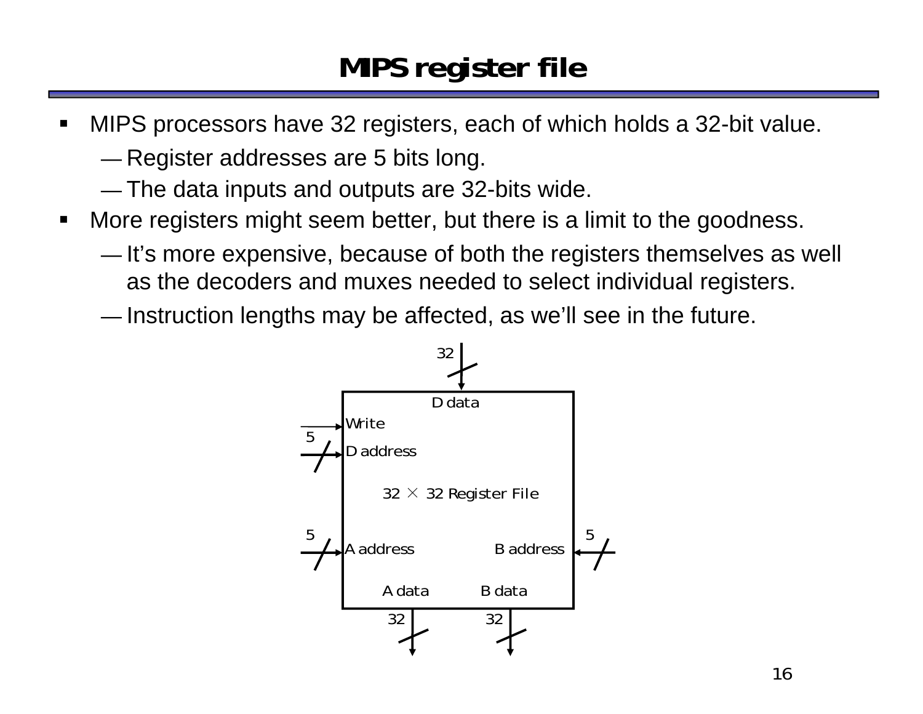## **MIPS register file**

- ш MIPS processors have 32 registers, each of which holds a 32-bit value.
	- — $-$  Register addresses are 5 bits long.
	- The data inputs and outputs are 32-bits wide.
- $\blacksquare$  More registers might seem better, but there is a limit to the goodness.
	- — $-$  It's more expensive, because of both the registers themselves as well as the decoders and muxes needed to select individual registers.
	- — $-$  Instruction lengths may be affected, as we'll see in the future.

![](_page_15_Figure_7.jpeg)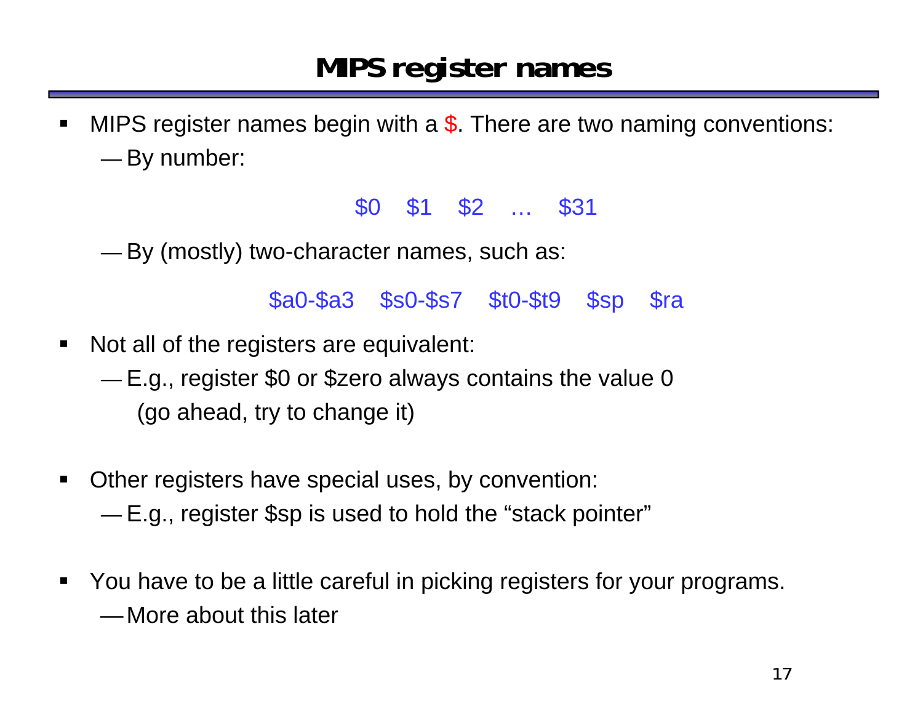#### **MIPS register names**

 $\blacksquare$ MIPS register names begin with a \$. There are two naming conventions: —By number:

#### \$0 \$1 \$2 … \$31

—By (mostly) two-character names, such as:

\$a0-\$a3 \$s0-\$s7 \$t0-\$t9 \$sp \$ra

- $\blacksquare$  Not all of the registers are equivalent:
	- — E.g., register \$0 or \$zero always contains the value 0 (go ahead, try to change it)
- $\blacksquare$  Other registers have special uses, by convention: —E.g., register \$sp is used to hold the "stack pointer"
- $\blacksquare$  You have to be a little careful in picking registers for your programs. —More about this later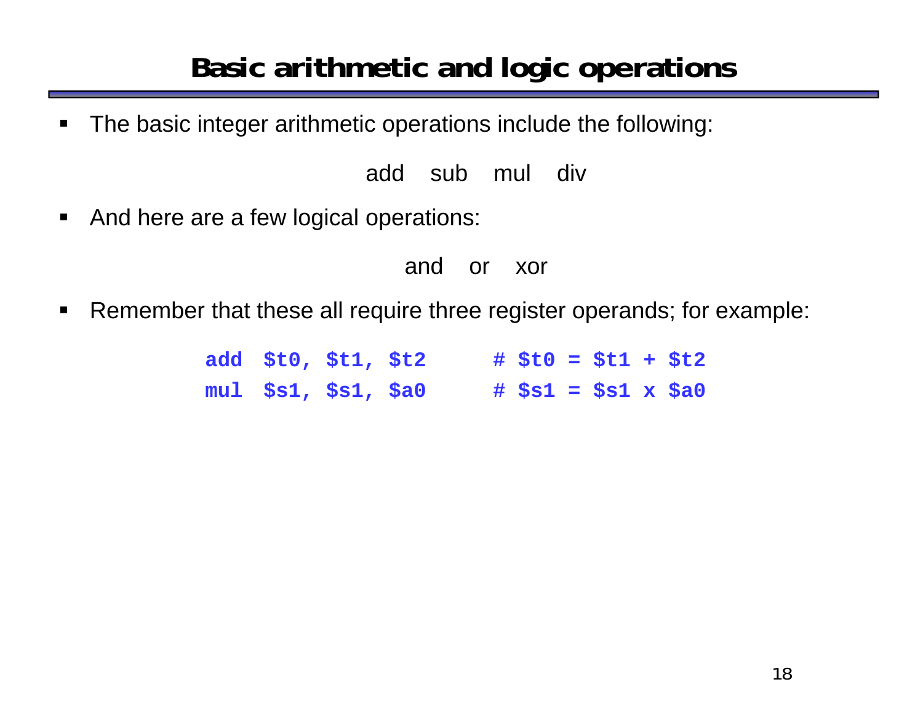## **Basic arithmetic and logic operations**

 $\blacksquare$ The basic integer arithmetic operations include the following:

add sub mul div

 $\blacksquare$ And here are a few logical operations:

and or xor

 $\blacksquare$ Remember that these all require three register operands; for example:

> **add \$t0, \$t1, \$t2 # \$t0 = \$t1 + \$t2 mul \$s1, \$s1, \$a0 # \$s1 = \$s1 x \$a0**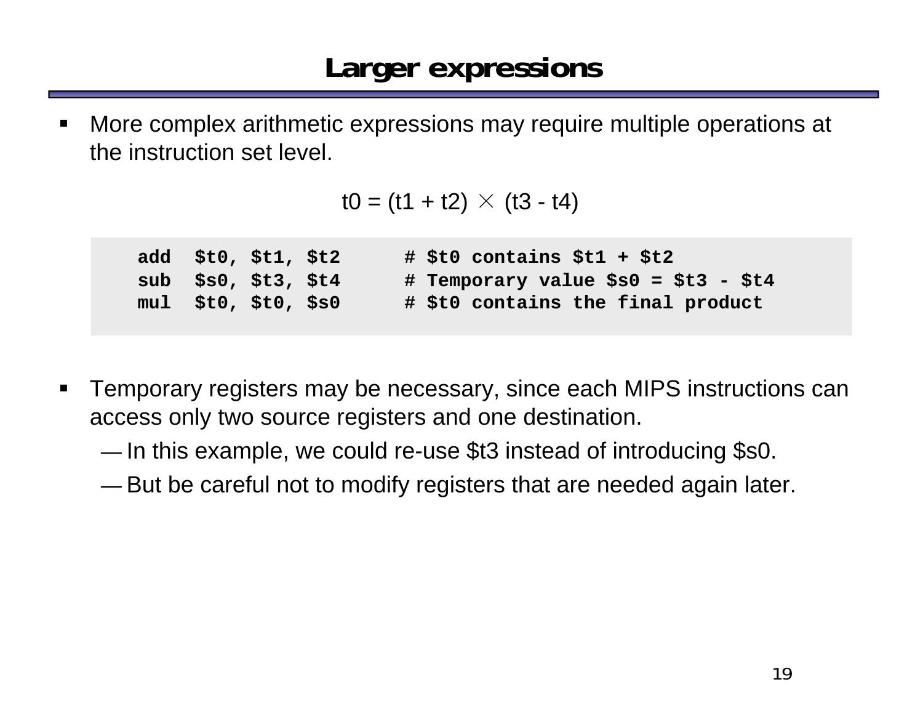ш More complex arithmetic expressions may require multiple operations at the instruction set level.

```
t0 = (t1 + t2) \times (t3 - t4)
```
**add \$t0, \$t1, \$t2 # \$t0 contains \$t1 + \$t2 sub \$s0, \$t3, \$t4 # Temporary value \$s0 = \$t3 - \$t4 mul \$t0, \$t0, \$s0 # \$t0 contains the final product**

- $\blacksquare$  Temporary registers may be necessary, since each MIPS instructions can access only two source registers and one destination.
	- — $-$  In this example, we could re-use \$t3 instead of introducing \$s0.
	- —But be careful not to modify registers that are needed again later.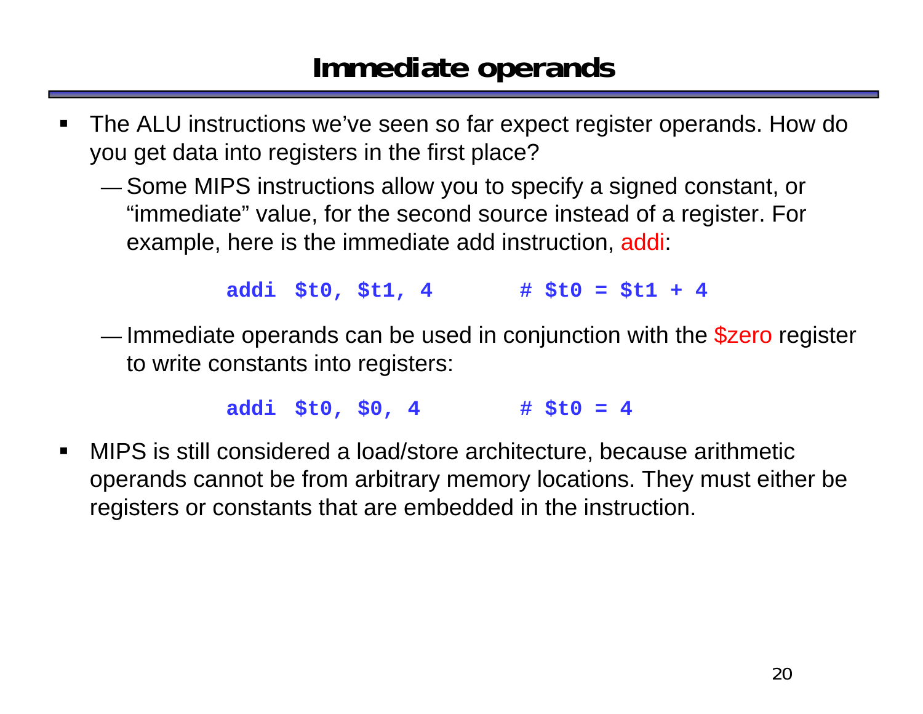### **Immediate operands**

- ш The ALU instructions we've seen so far expect register operands. How do you get data into registers in the first place?
	- — Some MIPS instructions allow you to specify a signed constant, or "immediate" value, for the second source instead of a register. For example, here is the immediate add instruction, addi:

**addi \$t0, \$t1, 4 # \$t0 = \$t1 + 4**

— $-$  Immediate operands can be used in conjunction with the  $$$ zero register to write constants into registers:

**addi \$t0, \$0, 4 # \$t0 = 4**

 $\blacksquare$  MIPS is still considered a load/store architecture, because arithmetic operands cannot be from arbitrary memory locations. They must either be registers or constants that are embedded in the instruction.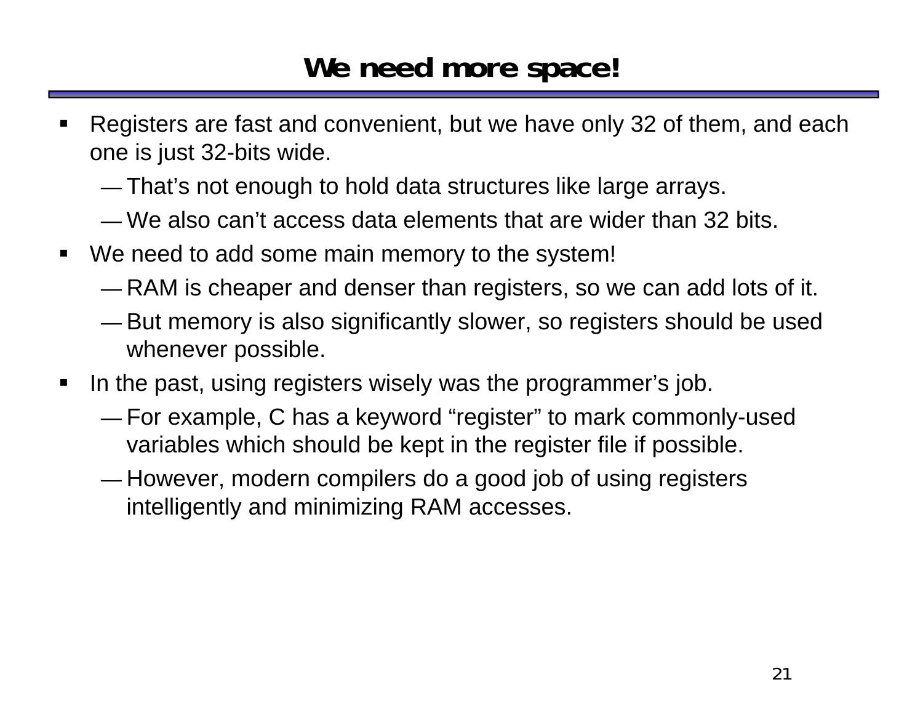### **We need more space!**

- ш Registers are fast and convenient, but we have only 32 of them, and each one is just 32-bits wide.
	- —That's not enough to hold data structures like large arrays.
	- We also can't access data elements that are wider than 32 bits.
- We need to add some main memory to the system!
	- —RAM is cheaper and denser than registers, so we can add lots of it.
	- — But memory is also significantly slower, so registers should be used whenever possible.
- $\blacksquare$  In the past, using registers wisely was the programmer's job.
	- — For example, C has a keyword "register" to mark commonly-used variables which should be kept in the register file if possible.
	- — $-$  However, modern compilers do a good job of using registers intelligently and minimizing RAM accesses.